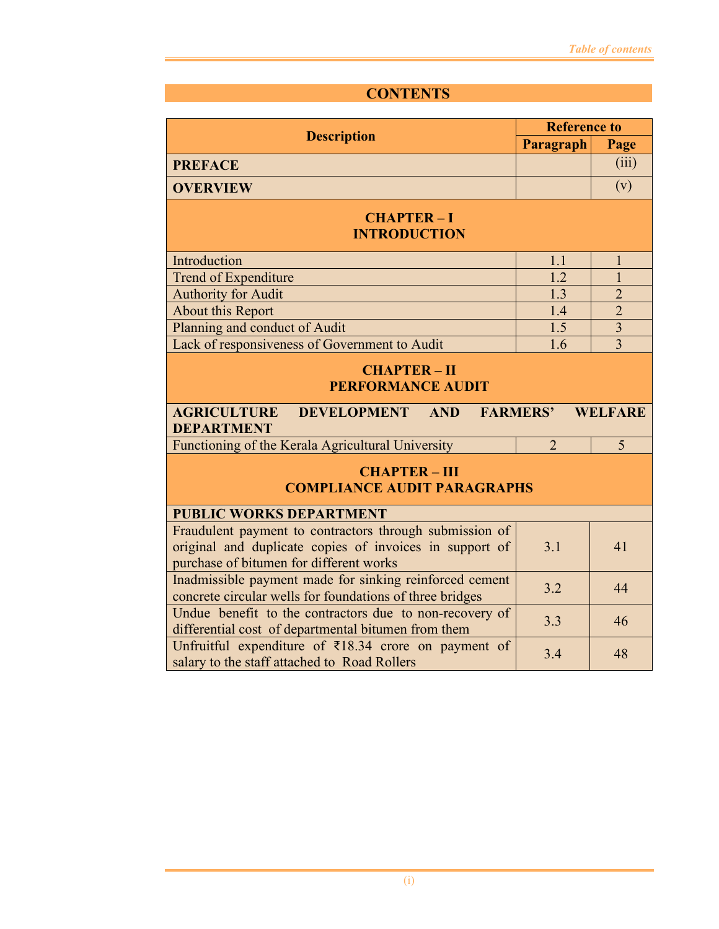## **CONTENTS**

|                                                                                                                                                                   | <b>Reference to</b> |                |  |
|-------------------------------------------------------------------------------------------------------------------------------------------------------------------|---------------------|----------------|--|
| <b>Description</b>                                                                                                                                                | Paragraph           | Page           |  |
| <b>PREFACE</b>                                                                                                                                                    |                     | (iii)          |  |
| <b>OVERVIEW</b>                                                                                                                                                   |                     | (v)            |  |
| <b>CHAPTER-I</b><br><b>INTRODUCTION</b>                                                                                                                           |                     |                |  |
| Introduction                                                                                                                                                      | 1.1                 | $\mathbf{1}$   |  |
| Trend of Expenditure                                                                                                                                              | 1.2                 | 1              |  |
| <b>Authority for Audit</b>                                                                                                                                        | 1.3                 | $\overline{2}$ |  |
| About this Report                                                                                                                                                 | 1.4                 | $\overline{2}$ |  |
| Planning and conduct of Audit                                                                                                                                     | 1.5                 | $\overline{3}$ |  |
| Lack of responsiveness of Government to Audit                                                                                                                     | 1.6                 | $\overline{3}$ |  |
| <b>CHAPTER-II</b><br><b>PERFORMANCE AUDIT</b><br><b>AGRICULTURE</b><br><b>DEVELOPMENT</b><br><b>AND</b><br><b>FARMERS'</b><br><b>WELFARE</b><br><b>DEPARTMENT</b> |                     |                |  |
| Functioning of the Kerala Agricultural University                                                                                                                 | $\overline{2}$      | 5              |  |
| <b>CHAPTER - III</b><br><b>COMPLIANCE AUDIT PARAGRAPHS</b>                                                                                                        |                     |                |  |
| <b>PUBLIC WORKS DEPARTMENT</b><br>Fraudulent payment to contractors through submission of                                                                         |                     |                |  |
| original and duplicate copies of invoices in support of<br>purchase of bitumen for different works                                                                | 3.1                 | 41             |  |
| Inadmissible payment made for sinking reinforced cement<br>concrete circular wells for foundations of three bridges                                               | 3.2                 | 44             |  |
| Undue benefit to the contractors due to non-recovery of<br>differential cost of departmental bitumen from them                                                    | 3.3                 | 46             |  |
| Unfruitful expenditure of $\bar{\xi}$ 18.34 crore on payment of<br>salary to the staff attached to Road Rollers                                                   | 3.4                 | 48             |  |